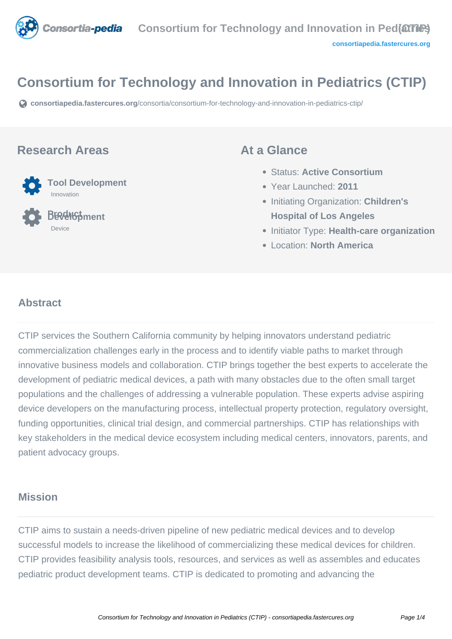

# **Consortium for Technology and Innovation in Pediatrics (CTIP)**

**[consortiapedia.fastercures.org](https://consortiapedia.fastercures.org/consortia/consortium-for-technology-and-innovation-in-pediatrics-ctip/)**[/consortia/consortium-for-technology-and-innovation-in-pediatrics-ctip/](https://consortiapedia.fastercures.org/consortia/consortium-for-technology-and-innovation-in-pediatrics-ctip/)

### **Research Areas**



 **Product Development** Device

## **At a Glance**

- Status: **Active Consortium**
- Year Launched: **2011**
- **Initiating Organization: Children's Hospital of Los Angeles**
- **Initiator Type: Health-care organization**
- Location: **North America**

#### $\overline{a}$ **Abstract**

CTIP services the Southern California community by helping innovators understand pediatric commercialization challenges early in the process and to identify viable paths to market through innovative business models and collaboration. CTIP brings together the best experts to accelerate the development of pediatric medical devices, a path with many obstacles due to the often small target populations and the challenges of addressing a vulnerable population. These experts advise aspiring device developers on the manufacturing process, intellectual property protection, regulatory oversight, funding opportunities, clinical trial design, and commercial partnerships. CTIP has relationships with key stakeholders in the medical device ecosystem including medical centers, innovators, parents, and patient advocacy groups.

# **Mission**

CTIP aims to sustain a needs-driven pipeline of new pediatric medical devices and to develop successful models to increase the likelihood of commercializing these medical devices for children. CTIP provides feasibility analysis tools, resources, and services as well as assembles and educates pediatric product development teams. CTIP is dedicated to promoting and advancing the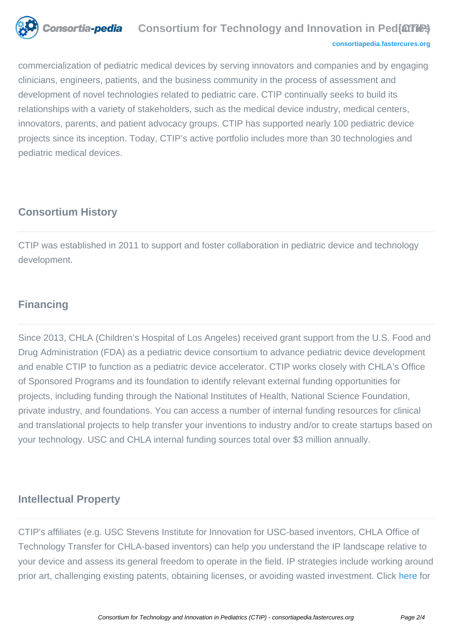

#### **Consortia-pedia** Consortium for Technology and Innovation in Ped(arrical **[consortiapedia.fastercures.org](http://consortiapedia.fastercures.org/)**

commercialization of pediatric medical devices by serving innovators and companies and by engaging clinicians, engineers, patients, and the business community in the process of assessment and development of novel technologies related to pediatric care. CTIP continually seeks to build its relationships with a variety of stakeholders, such as the medical device industry, medical centers, innovators, parents, and patient advocacy groups. CTIP has supported nearly 100 pediatric device projects since its inception. Today, CTIP's active portfolio includes more than 30 technologies and pediatric medical devices.

# **Consortium History**

CTIP was established in 2011 to support and foster collaboration in pediatric device and technology development.

# **Financing**

Since 2013, CHLA (Children's Hospital of Los Angeles) received grant support from the U.S. Food and Drug Administration (FDA) as a pediatric device consortium to advance pediatric device development and enable CTIP to function as a pediatric device accelerator. CTIP works closely with CHLA's Office of Sponsored Programs and its foundation to identify relevant external funding opportunities for projects, including funding through the National Institutes of Health, National Science Foundation, private industry, and foundations. You can access a number of internal funding resources for clinical and translational projects to help transfer your inventions to industry and/or to create startups based on your technology. USC and CHLA internal funding sources total over \$3 million annually.

# **Intellectual Property**

CTIP's affiliates (e.g. USC Stevens Institute for Innovation for USC-based inventors, CHLA Office of Technology Transfer for CHLA-based inventors) can help you understand the IP landscape relative to your device and assess its general freedom to operate in the field. IP strategies include working around prior art, challenging existing patents, obtaining licenses, or avoiding wasted investment. Click [here](http://www.scctip.org/resource-intelectual-property) for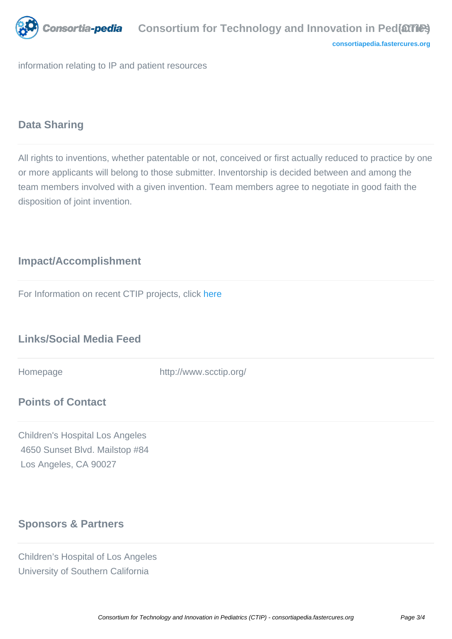

information relating to IP and patient resources

## **Data Sharing**

All rights to inventions, whether patentable or not, conceived or first actually reduced to practice by one or more applicants will belong to those submitter. Inventorship is decided between and among the team members involved with a given invention. Team members agree to negotiate in good faith the disposition of joint invention.

# **Impact/Accomplishment**

For Information on recent CTIP projects, click [here](http://www.scctip.org/new-page/)

# **Links/Social Media Feed**

Homepage http://www.scctip.org/

# **Points of Contact**

Children's Hospital Los Angeles 4650 Sunset Blvd. Mailstop #84 Los Angeles, CA 90027

# **Sponsors & Partners**

Children's Hospital of Los Angeles University of Southern California